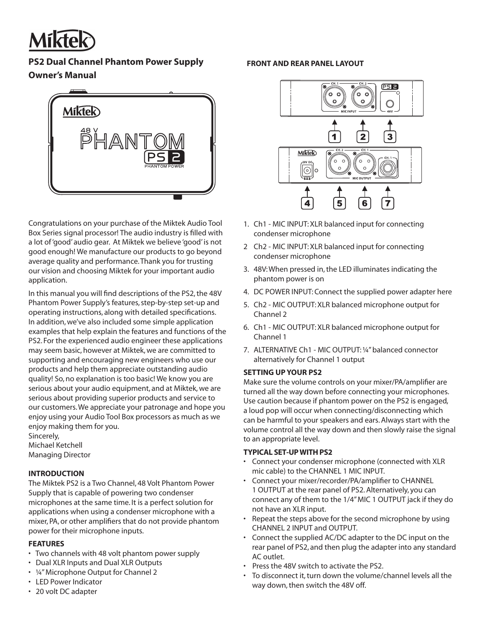

# **PS2 Dual Channel Phantom Power Supply FRONT AND REAR PANEL LAYOUT Owner's Manual**



Congratulations on your purchase of the Miktek Audio Tool Box Series signal processor! The audio industry is filled with a lot of 'good' audio gear. At Miktek we believe 'good' is not good enough! We manufacture our products to go beyond average quality and performance. Thank you for trusting our vision and choosing Miktek for your important audio application.

In this manual you will find descriptions of the PS2, the 48V Phantom Power Supply's features, step-by-step set-up and operating instructions, along with detailed specifications. In addition, we've also included some simple application examples that help explain the features and functions of the PS2. For the experienced audio engineer these applications may seem basic, however at Miktek, we are committed to supporting and encouraging new engineers who use our products and help them appreciate outstanding audio quality! So, no explanation is too basic! We know you are serious about your audio equipment, and at Miktek, we are serious about providing superior products and service to our customers. We appreciate your patronage and hope you enjoy using your Audio Tool Box processors as much as we enjoy making them for you.

Sincerely, Michael Ketchell Managing Director

### **INTRODUCTION**

The Miktek PS2 is a Two Channel, 48 Volt Phantom Power Supply that is capable of powering two condenser microphones at the same time. It is a perfect solution for applications when using a condenser microphone with a mixer, PA, or other amplifiers that do not provide phantom power for their microphone inputs.

### **FEATURES**

- Two channels with 48 volt phantom power supply
- Dual XLR Inputs and Dual XLR Outputs
- ¼" Microphone Output for Channel 2
- LED Power Indicator



- 1. Ch1 MIC INPUT: XLR balanced input for connecting condenser microphone
- 2 Ch2 MIC INPUT: XLR balanced input for connecting condenser microphone
- 3. 48V: When pressed in, the LED illuminates indicating the phantom power is on
- 4. DC POWER INPUT: Connect the supplied power adapter here
- 5. Ch2 MIC OUTPUT: XLR balanced microphone output for Channel 2
- 6. Ch1 MIC OUTPUT: XLR balanced microphone output for Channel 1
- 7. ALTERNATIVE Ch1 MIC OUTPUT: ¼" balanced connector alternatively for Channel 1 output

### **SETTING UP YOUR PS2**

Make sure the volume controls on your mixer/PA/amplifier are turned all the way down before connecting your microphones. Use caution because if phantom power on the PS2 is engaged, a loud pop will occur when connecting/disconnecting which can be harmful to your speakers and ears. Always start with the volume control all the way down and then slowly raise the signal to an appropriate level.

### **TYPICAL SET-UP WITH PS2**

- Connect your condenser microphone (connected with XLR mic cable) to the CHANNEL 1 MIC INPUT.
- Connect your mixer/recorder/PA/amplifier to CHANNEL 1 OUTPUT at the rear panel of PS2. Alternatively, you can connect any of them to the 1/4" MIC 1 OUTPUT jack if they do not have an XLR input.
- Repeat the steps above for the second microphone by using CHANNEL 2 INPUT and OUTPUT.
- Connect the supplied AC/DC adapter to the DC input on the rear panel of PS2, and then plug the adapter into any standard AC outlet.
- Press the 48V switch to activate the PS2.
- To disconnect it, turn down the volume/channel levels all the way down, then switch the 48V off.

• 20 volt DC adapter